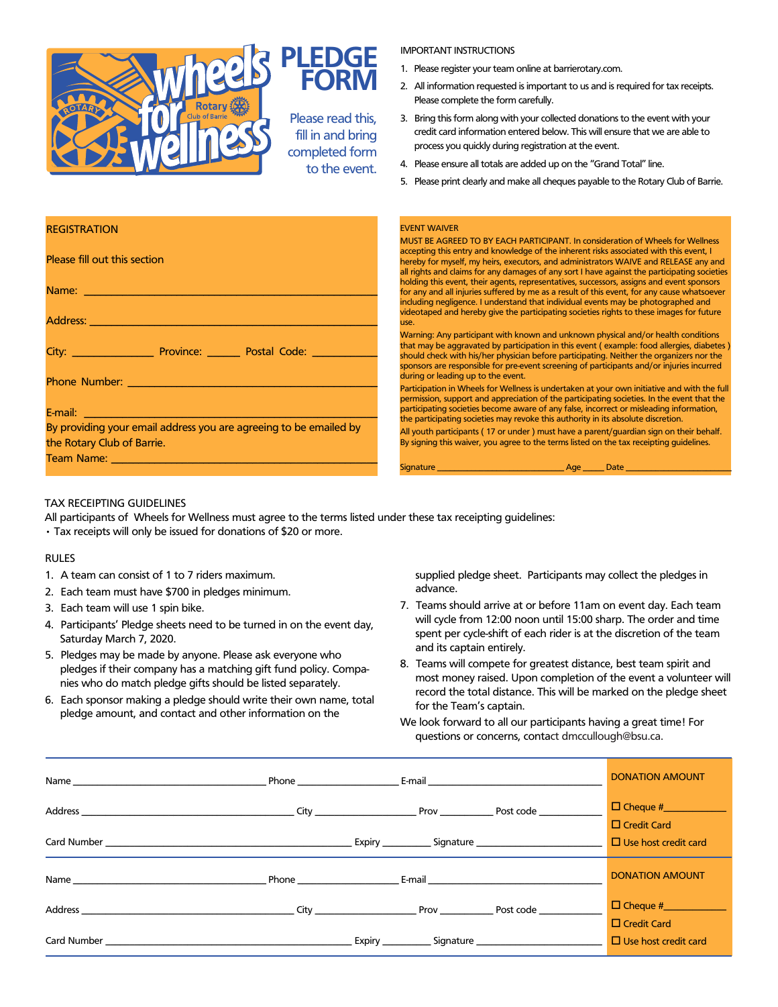

#### IMPORTANT INSTRUCTIONS

- 1. Please register your team online at barrierotary.com.
- 2. All information requested is important to us and is required for tax receipts. Please complete the form carefully.
- 3. Bring this form along with your collected donations to the event with your credit card information entered below. This will ensure that we are able to process you quickly during registration at the event.
- 4. Please ensure all totals are added up on the "Grand Total" line.
- 5. Please print clearly and make all cheques payable to the Rotary Club of Barrie.

| <b>REGISTRATION</b>                                                                                                                                                                                                            | <b>EVENT WAIVER</b><br>MUST BE AGREED TO BY EACH PARTICIPANT. In consideration of Wheels for Wellness                                                                                                                                                                                                                                                                                                        |
|--------------------------------------------------------------------------------------------------------------------------------------------------------------------------------------------------------------------------------|--------------------------------------------------------------------------------------------------------------------------------------------------------------------------------------------------------------------------------------------------------------------------------------------------------------------------------------------------------------------------------------------------------------|
| Please fill out this section                                                                                                                                                                                                   | accepting this entry and knowledge of the inherent risks associated with this event, I<br>hereby for myself, my heirs, executors, and administrators WAIVE and RELEASE any and<br>all rights and claims for any damages of any sort I have against the participating societies                                                                                                                               |
| Name: We have a strategies of the contract of the contract of the contract of the contract of the contract of                                                                                                                  | holding this event, their agents, representatives, successors, assigns and event sponsors<br>for any and all injuries suffered by me as a result of this event, for any cause whatsoever<br>including negligence. I understand that individual events may be photographed and<br>videotaped and hereby give the participating societies rights to these images for future                                    |
| Address: No. 1996. The Contract of the Contract of the Contract of the Contract of the Contract of the Contract of the Contract of the Contract of the Contract of the Contract of the Contract of the Contract of the Contrac | use.                                                                                                                                                                                                                                                                                                                                                                                                         |
| City: City: City: City: City: City: City: City: City: City: City: City: City: City: City: City: City: City: City: City: City: City: City: City: City: City: City: City: City: City: City: City: City: City: City: City: City:  | Warning: Any participant with known and unknown physical and/or health conditions<br>that may be aggravated by participation in this event (example: food allergies, diabetes<br>should check with his/her physician before participating. Neither the organizers nor the<br>sponsors are responsible for pre-event screening of participants and/or injuries incurred<br>during or leading up to the event. |
|                                                                                                                                                                                                                                | Participation in Wheels for Wellness is undertaken at your own initiative and with the full<br>permission, support and appreciation of the participating societies. In the event that the<br>participating societies become aware of any false, incorrect or misleading information,                                                                                                                         |
| <b>E-mail:</b> E-mail: All and the second second second second second second second second second second second second<br>By providing your email address you are agreeing to be emailed by                                    | the participating societies may revoke this authority in its absolute discretion.                                                                                                                                                                                                                                                                                                                            |
| the Rotary Club of Barrie.                                                                                                                                                                                                     | All youth participants (17 or under) must have a parent/guardian sign on their behalf.<br>By signing this waiver, you agree to the terms listed on the tax receipting guidelines.                                                                                                                                                                                                                            |
| Team Name: Name: Name State State State State State State State State State State State State State State State State State State State State State State State State State State State State State State State State State St | Signature Age Date Date Communication and Age Date Date Communications of the Communication of the Communication of the Communication of the Communication of the Communication of the Communication of the Communication of t                                                                                                                                                                               |

### TAX RECEIPTING GUIDELINES

All participants of Wheels for Wellness must agree to the terms listed under these tax receipting guidelines:

• Tax receipts will only be issued for donations of \$20 or more.

#### RULES

- 1. A team can consist of 1 to 7 riders maximum.
- 2. Each team must have \$700 in pledges minimum.
- 3. Each team will use 1 spin bike.
- 4. Participants' Pledge sheets need to be turned in on the event day, Saturday March 7, 2020.
- 5. Pledges may be made by anyone. Please ask everyone who pledges if their company has a matching gift fund policy. Companies who do match pledge gifts should be listed separately.
- 6. Each sponsor making a pledge should write their own name, total pledge amount, and contact and other information on the

supplied pledge sheet. Participants may collect the pledges in advance.

- 7. Teams should arrive at or before 11am on event day. Each team will cycle from 12:00 noon until 15:00 sharp. The order and time spent per cycle-shift of each rider is at the discretion of the team and its captain entirely.
- 8. Teams will compete for greatest distance, best team spirit and most money raised. Upon completion of the event a volunteer will record the total distance. This will be marked on the pledge sheet for the Team's captain.
- We look forward to all our participants having a great time! For questions or concerns, contact dmccullough@bsu.ca.

| Name <b>Reserves E-mail Phone Reserves E-mail</b>                                                                                                                                                                             |  | <b>DONATION AMOUNT</b>                       |
|-------------------------------------------------------------------------------------------------------------------------------------------------------------------------------------------------------------------------------|--|----------------------------------------------|
| Address and the control of the control of the control of the control of the control of the control of the control of the control of the control of the control of the control of the control of the control of the control of |  | $\Box$ Cheque # $\Box$<br>$\Box$ Credit Card |
|                                                                                                                                                                                                                               |  | $\Box$ Use host credit card                  |
| Name <b>E-mail E-mail E-mail</b>                                                                                                                                                                                              |  | <b>DONATION AMOUNT</b>                       |
| Address and the control of the control of the control of the control of the control of the control of the control of the control of the control of the control of the control of the control of the control of the control of |  | $\Box$ Credit Card                           |
|                                                                                                                                                                                                                               |  | $\Box$ Use host credit card                  |